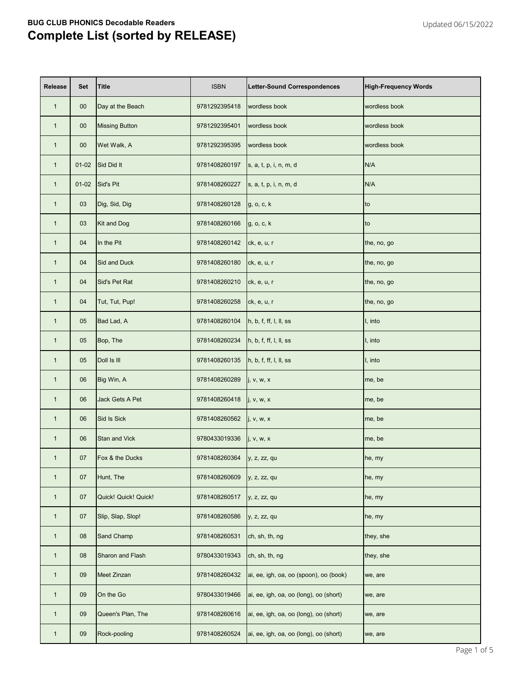| <b>Release</b> | <b>Set</b> | <b>Title</b>          | <b>ISBN</b>                      | <b>Letter-Sound Correspondences</b>    | <b>High-Frequency Words</b> |
|----------------|------------|-----------------------|----------------------------------|----------------------------------------|-----------------------------|
| $\mathbf{1}$   | $00\,$     | Day at the Beach      | 9781292395418                    | wordless book                          | wordless book               |
| $\mathbf{1}$   | $00\,$     | <b>Missing Button</b> | 9781292395401                    | wordless book                          | wordless book               |
| $\mathbf{1}$   | $00\,$     | Wet Walk, A           | 9781292395395                    | wordless book                          | wordless book               |
| $\mathbf{1}$   | $01-02$    | Sid Did It            | 9781408260197                    | s, a, t, p, i, n, m, d                 | N/A                         |
| $\mathbf{1}$   | $01-02$    | Sid's Pit             | 9781408260227                    | s, a, t, p, i, n, m, d                 | N/A                         |
| $\mathbf{1}$   | 03         | Dig, Sid, Dig         | 9781408260128                    | g, o, c, k                             | to                          |
| $\mathbf{1}$   | 03         | <b>Kit and Dog</b>    | 9781408260166                    | g, o, c, k                             | to                          |
| $\mathbf{1}$   | 04         | In the Pit            | 9781408260142                    | ck, e, u, r                            | the, no, go                 |
| $\mathbf{1}$   | 04         | <b>Sid and Duck</b>   | 9781408260180                    | ck, e, u, r                            | the, no, go                 |
| $\mathbf{1}$   | 04         | Sid's Pet Rat         | 9781408260210                    | ck, e, u, r                            | the, no, go                 |
| $\mathbf{1}$   | 04         | Tut, Tut, Pup!        | 9781408260258                    | ck, e, u, r                            | the, no, go                 |
| $\mathbf{1}$   | 05         | Bad Lad, A            | 9781408260104                    | h, b, f, ff, l, ll, ss                 | I, into                     |
| $\mathbf{1}$   | 05         | Bop, The              | 9781408260234                    | h, b, f, ff, l, ll, ss                 | I, into                     |
| $\mathbf{1}$   | 05         | Doll Is III           | 9781408260135                    | h, b, f, ff, l, ll, ss                 | I, into                     |
| $\mathbf{1}$   | 06         | Big Win, A            | 9781408260289 $\vert$ j, v, w, x |                                        | me, be                      |
| $\mathbf{1}$   | 06         | Jack Gets A Pet       | 9781408260418                    | j, v, w, x                             | me, be                      |
| $\mathbf{1}$   | 06         | Sid Is Sick           | 9781408260562                    | j, v, w, x                             | me, be                      |
| $\mathbf{1}$   | 06         | <b>Stan and Vick</b>  | 9780433019336                    | j, v, w, x                             | me, be                      |
| $\mathbf{1}$   | 07         | Fox & the Ducks       | 9781408260364                    | y, z, zz, qu                           | he, my                      |
| $\mathbf{1}$   | 07         | Hunt, The             | 9781408260609                    | y, z, zz, qu                           | he, my                      |
| $\mathbf{1}$   | 07         | Quick! Quick! Quick!  | 9781408260517                    | y, z, zz, qu                           | he, my                      |
| $\mathbf{1}$   | 07         | Slip, Slap, Slop!     | 9781408260586                    | y, z, zz, qu                           | he, my                      |
| $\mathbf{1}$   | 08         | Sand Champ            | 9781408260531                    | ch, sh, th, ng                         | they, she                   |
| $\mathbf{1}$   | 08         | Sharon and Flash      | 9780433019343                    | ch, sh, th, ng                         | they, she                   |
| $\mathbf{1}$   | 09         | <b>Meet Zinzan</b>    | 9781408260432                    | ai, ee, igh, oa, oo (spoon), oo (book) | we, are                     |
| $\mathbf{1}$   | 09         | On the Go             | 9780433019466                    | ai, ee, igh, oa, oo (long), oo (short) | we, are                     |
| $\mathbf{1}$   | 09         | Queen's Plan, The     | 9781408260616                    | ai, ee, igh, oa, oo (long), oo (short) | we, are                     |
| $\mathbf{1}$   | 09         | Rock-pooling          | 9781408260524                    | ai, ee, igh, oa, oo (long), oo (short) | we, are                     |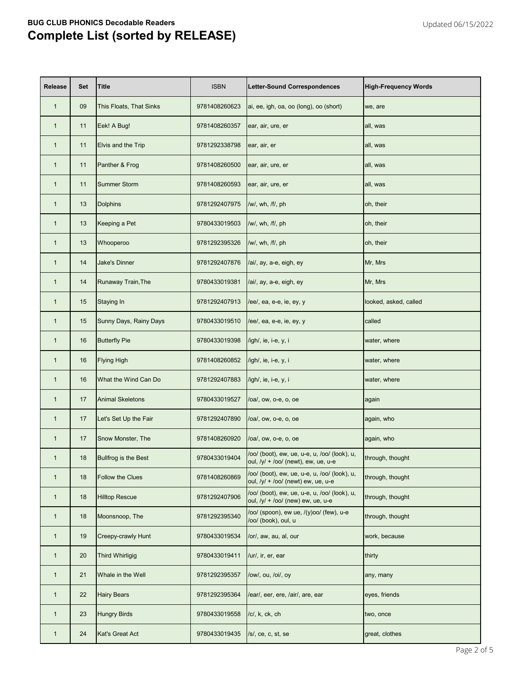| <b>Release</b> | <b>Set</b> | <b>Title</b>            | <b>ISBN</b>   | <b>Letter-Sound Correspondences</b>                                                   | <b>High-Frequency Words</b> |
|----------------|------------|-------------------------|---------------|---------------------------------------------------------------------------------------|-----------------------------|
| $\mathbf{1}$   | 09         | This Floats, That Sinks | 9781408260623 | ai, ee, igh, oa, oo (long), oo (short)                                                | we, are                     |
| $\mathbf{1}$   | 11         | Eek! A Bug!             | 9781408260357 | ear, air, ure, er                                                                     | all, was                    |
| $\mathbf{1}$   | 11         | Elvis and the Trip      | 9781292338798 | ear, air, er                                                                          | all, was                    |
| $\mathbf{1}$   | 11         | Panther & Frog          | 9781408260500 | ear, air, ure, er                                                                     | all, was                    |
| $\mathbf{1}$   | 11         | <b>Summer Storm</b>     | 9781408260593 | ear, air, ure, er                                                                     | all, was                    |
| $\mathbf{1}$   | 13         | <b>Dolphins</b>         | 9781292407975 | /w/, wh, /f/, ph                                                                      | oh, their                   |
| $\mathbf{1}$   | 13         | Keeping a Pet           | 9780433019503 | /w/, wh, /f/, ph                                                                      | oh, their                   |
| $\mathbf{1}$   | 13         | Whooperoo               | 9781292395326 | /w/, wh, /f/, ph                                                                      | oh, their                   |
| $\mathbf{1}$   | 14         | <b>Jake's Dinner</b>    | 9781292407876 | /ai/, ay, a-e, eigh, ey                                                               | Mr, Mrs                     |
| $\mathbf{1}$   | 14         | Runaway Train, The      | 9780433019381 | /ai/, ay, a-e, eigh, ey                                                               | Mr, Mrs                     |
| $\mathbf{1}$   | 15         | <b>Staying In</b>       | 9781292407913 | /ee/, ea, e-e, ie, ey, y                                                              | looked, asked, called       |
| $\mathbf{1}$   | 15         | Sunny Days, Rainy Days  | 9780433019510 | /ee/, ea, e-e, ie, ey, y                                                              | called                      |
| $\mathbf{1}$   | 16         | <b>Butterfly Pie</b>    | 9780433019398 | /igh/, ie, i-e, y, i                                                                  | water, where                |
| $\mathbf{1}$   | 16         | <b>Flying High</b>      | 9781408260852 | /igh/, ie, i-e, y, i                                                                  | water, where                |
| $\mathbf{1}$   | 16         | What the Wind Can Do    | 9781292407883 | /igh/, ie, i-e, y, i                                                                  | water, where                |
| $\mathbf{1}$   | 17         | <b>Animal Skeletons</b> | 9780433019527 | /oa/, ow, o-e, o, oe                                                                  | again                       |
| $\mathbf{1}$   | 17         | Let's Set Up the Fair   | 9781292407890 | /oa/, ow, o-e, o, oe                                                                  | again, who                  |
| $\mathbf{1}$   | 17         | Snow Monster, The       | 9781408260920 | /oa/, ow, o-e, o, oe                                                                  | again, who                  |
| $\mathbf{1}$   | 18         | Bullfrog is the Best    | 9780433019404 | /oo/ (boot), ew, ue, u-e, u, /oo/ (look), u,<br>oul, $/y/ + /oo/$ (newt), ew, ue, u-e | through, thought            |
| $\mathbf{1}$   | 18         | Follow the Clues        | 9781408260869 | /oo/ (boot), ew, ue, u-e, u, /oo/ (look), u,<br>oul, $/y/ + /oo/$ (newt) ew, ue, u-e  | through, thought            |
| $\mathbf{1}$   | 18         | <b>Hilltop Rescue</b>   | 9781292407906 | /oo/ (boot), ew, ue, u-e, u, /oo/ (look), u,<br>oul, /y/ + /oo/ (new) ew, ue, u-e     | through, thought            |
| $\mathbf{1}$   | 18         | Moonsnoop, The          | 9781292395340 | /oo/ (spoon), ew ue, /(y)oo/ (few), u-e<br>/oo/ (book), oul, u                        | through, thought            |
| $\mathbf{1}$   | 19         | Creepy-crawly Hunt      | 9780433019534 | /or/, aw, au, al, our                                                                 | work, because               |
| $\mathbf{1}$   | 20         | <b>Third Whirligig</b>  | 9780433019411 | /ur/, ir, er, ear                                                                     | thirty                      |
| $\mathbf{1}$   | 21         | Whale in the Well       | 9781292395357 | /ow/, ou, /oi/, oy                                                                    | any, many                   |
| $\mathbf{1}$   | 22         | <b>Hairy Bears</b>      | 9781292395364 | /ear/, eer, ere, /air/, are, ear                                                      | eyes, friends               |
| $\mathbf{1}$   | 23         | <b>Hungry Birds</b>     | 9780433019558 | /c/, k, ck, ch                                                                        | two, once                   |
| $\mathbf{1}$   | 24         | Kat's Great Act         | 9780433019435 | /s/, ce, c, st, se                                                                    | great, clothes              |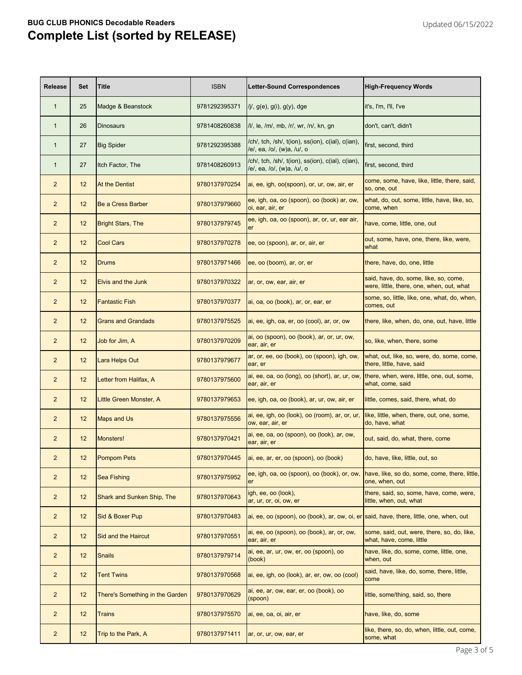| <b>Release</b> | <b>Set</b> | <b>Title</b>                      | <b>ISBN</b>   | <b>Letter-Sound Correspondences</b>                                                                       | <b>High-Frequency Words</b>                                                        |
|----------------|------------|-----------------------------------|---------------|-----------------------------------------------------------------------------------------------------------|------------------------------------------------------------------------------------|
| $\mathbf{1}$   | 25         | Madge & Beanstock                 | 9781292395371 | $/j/$ , $g(e)$ , $g(i)$ , $g(y)$ , dge                                                                    | it's, I'm, I'll, I've                                                              |
| $\mathbf{1}$   | 26         | <b>Dinosaurs</b>                  | 9781408260838 | /l/, le, /m/, mb, /r/, wr, /n/, kn, gn                                                                    | don't, can't, didn't                                                               |
| $\mathbf{1}$   | 27         | <b>Big Spider</b>                 | 9781292395388 | /ch/, tch, /sh/, t(ion), ss(ion), c(ial), c(ian),<br>/e/, ea, /o/, (w)a, /u/, o                           | first, second, third                                                               |
| $\mathbf 1$    | 27         | Itch Factor, The                  | 9781408260913 | /ch/, tch, /sh/, t(ion), ss(ion), c(ial), c(ian),<br>/e/, ea, /o/, (w)a, /u/, o                           | first, second, third                                                               |
| $\overline{2}$ | 12         | At the Dentist                    | 9780137970254 | ai, ee, igh, oo(spoon), or, ur, ow, air, er                                                               | come, some, have, like, little, there, said,<br>so, one, out                       |
| $\overline{2}$ | 12         | <b>Be a Cress Barber</b>          | 9780137979660 | ee, igh, oa, oo (spoon), oo (book) ar, ow,<br>oi, ear, air, er                                            | what, do, out, some, little, have, like, so,<br>come, when                         |
| $\overline{2}$ | 12         | <b>Bright Stars, The</b>          | 9780137979745 | ee, igh, oa, oo (spoon), ar, or, ur, ear air,<br><b>er</b>                                                | have, come, little, one, out                                                       |
| $\overline{2}$ | 12         | <b>Cool Cars</b>                  | 9780137970278 | ee, oo (spoon), ar, or, air, er                                                                           | out, some, have, one, there, like, were,<br>what                                   |
| $\overline{2}$ | 12         | Drums                             | 9780137971466 | ee, oo (boom), ar, or, er                                                                                 | there, have, do, one, little                                                       |
| $\overline{2}$ | 12         | <b>Elvis and the Junk</b>         | 9780137970322 | ar, or, ow, ear, air, er                                                                                  | said, have, do, some, like, so, come,<br>were, little, there, one, when, out, what |
| $\overline{2}$ | 12         | <b>Fantastic Fish</b>             | 9780137970377 | ai, oa, oo (book), ar, or, ear, er                                                                        | some, so, little, like, one, what, do, when,<br>comes, out                         |
| $\overline{2}$ | 12         | <b>Grans and Grandads</b>         | 9780137975525 | ai, ee, igh, oa, er, oo (cool), ar, or, ow                                                                | there, like, when, do, one, out, have, little                                      |
| $\overline{2}$ | 12         | Job for Jim, A                    | 9780137970209 | ai, oo (spoon), oo (book), ar, or, ur, ow,<br>ear, air, er                                                | so, like, when, there, some                                                        |
| $\overline{2}$ | 12         | Lara Helps Out                    | 9780137979677 | ar, or, ee, oo (book), oo (spoon), igh, ow,<br>ear, er                                                    | what, out, like, so, were, do, some, come,<br>there, little, have, said            |
| $\overline{c}$ |            | 12 <b>Letter from Halifax, A</b>  | 9780137975600 | ai, ee, oa, oo (long), oo (short), ar, ur, ow, there, when, were, little, one, out, some,<br>ear, air, er | what, come, said                                                                   |
| $\overline{2}$ | 12         | Little Green Monster, A           | 9780137979653 | ee, igh, oa, oo (book), ar, ur, ow, air, er                                                               | little, comes, said, there, what, do                                               |
| $\overline{2}$ | 12         | <b>Maps and Us</b>                | 9780137975556 | ai, ee, igh, oo (look), oo (room), ar, or, ur,<br>ow, ear, air, er                                        | like, little, when, there, out, one, some,<br>do, have, what                       |
| $\overline{a}$ | 12         | Monsters!                         | 9780137970421 | ai, ee, oa, oo (spoon), oo (look), ar, ow,<br>ear, air, er                                                | out, said, do, what, there, come                                                   |
| $\overline{2}$ | 12         | <b>Pompom Pets</b>                | 9780137970445 | ai, ee, ar, er, oo (spoon), oo (book)                                                                     | do, have, like, little, out, so                                                    |
| $\overline{2}$ | 12         | <b>Sea Fishing</b>                | 9780137975952 | ee, igh, oa, oo (spoon), oo (book), or, ow,<br><b>er</b>                                                  | have, like, so do, some, come, there, little,<br>one, when, out                    |
| $\overline{2}$ | 12         | <b>Shark and Sunken Ship, The</b> | 9780137970643 | igh, ee, oo (look),<br>ar, ur, or, oi, ow, er                                                             | there, said, so, some, have, come, were,<br>little, when, out, what                |
| $\overline{2}$ | 12         | Sid & Boxer Pup                   | 9780137970483 | $a$ i, ee, oo (spoon), oo (book), ar, ow, oi, er said, have, there, little, one, when, out                |                                                                                    |
| $\overline{2}$ | 12         | Sid and the Haircut               | 9780137970551 | ai, ee, oo (spoon), oo (book), ar, or, ow,<br>ear, air, er                                                | some, said, out, were, there, so, do, like,<br>what, have, come, little            |
| $\overline{2}$ | 12         | <b>Snails</b>                     | 9780137979714 | ai, ee, ar, ur, ow, er, oo (spoon), oo<br>(book)                                                          | have, like, do, some, come, little, one,<br>when, out                              |
| $\overline{2}$ | 12         | <b>Tent Twins</b>                 | 9780137970568 | ai, ee, igh, oo (look), ar, er, ow, oo (cool)                                                             | said, have, like, do, some, there, little,<br>come                                 |
| $\overline{2}$ | 12         | There's Something in the Garden   | 9780137970629 | ai, ee, ar, ow, ear, er, oo (book), oo<br>(spoon)                                                         | little, some/thing, said, so, there                                                |
| $\overline{2}$ | 12         | <b>Trains</b>                     | 9780137975570 | ai, ee, oa, oi, air, er                                                                                   | have, like, do, some                                                               |
| $\overline{a}$ | 12         | Trip to the Park, A               | 9780137971411 | ar, or, ur, ow, ear, er                                                                                   | like, there, so, do, when, little, out, come,<br>some, what                        |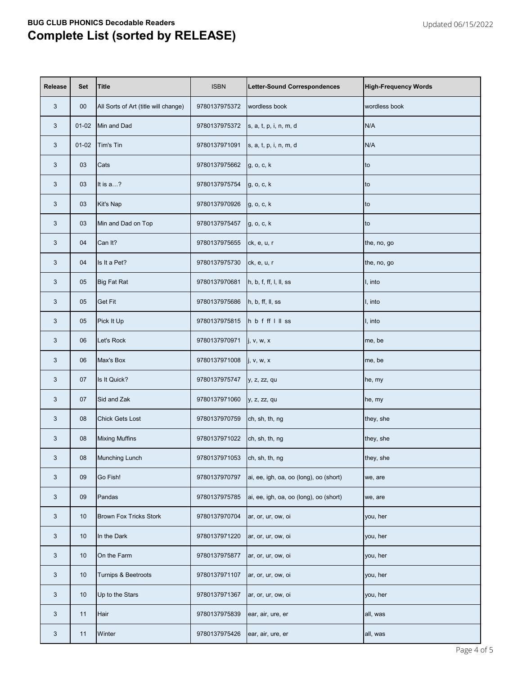| <b>Release</b> | <b>Set</b> | <b>Title</b>                         | <b>ISBN</b>                  | <b>Letter-Sound Correspondences</b>    | <b>High-Frequency Words</b> |
|----------------|------------|--------------------------------------|------------------------------|----------------------------------------|-----------------------------|
| 3              | $00\,$     | All Sorts of Art (title will change) | 9780137975372                | wordless book                          | wordless book               |
| 3              | $01-02$    | Min and Dad                          | 9780137975372                | s, a, t, p, i, n, m, d                 | N/A                         |
| 3              | $01-02$    | Tim's Tin                            | 9780137971091                | s, a, t, p, i, n, m, d                 | N/A                         |
| 3              | 03         | Cats                                 | 9780137975662                | g, o, c, k                             | Ito                         |
| 3              | 03         | It is a?                             | 9780137975754                | g, o, c, k                             | lto.                        |
| 3              | 03         | Kit's Nap                            | 9780137970926                | g, o, c, k                             | Ito                         |
| 3              | 03         | Min and Dad on Top                   | 9780137975457                | g, o, c, k                             | Ito                         |
| 3              | 04         | Can It?                              | 9780137975655                | ck, e, u, r                            | the, no, go                 |
| 3              | 04         | Is It a Pet?                         | 9780137975730                | ck, e, u, r                            | the, no, go                 |
| 3              | 05         | <b>Big Fat Rat</b>                   | 9780137970681                | h, b, f, ff, l, ll, ss                 | I, into                     |
| 3              | 05         | <b>Get Fit</b>                       | 9780137975686                | h, b, ff, ll, ss                       | I, into                     |
| 3              | 05         | Pick It Up                           | 9780137975815                | hbfffllss                              | I, into                     |
| 3              | 06         | Let's Rock                           | 9780137970971                | j, v, w, x                             | me, be                      |
| 3              | 06         | Max's Box                            | 9780137971008                | j, v, w, x                             | me, be                      |
| 3              | 07         | Is It Quick?                         | 9780137975747   y, z, zz, qu |                                        | he, my                      |
| 3              | 07         | Sid and Zak                          | 9780137971060                | y, z, zz, qu                           | he, my                      |
| 3              | 08         | <b>Chick Gets Lost</b>               | 9780137970759                | ch, sh, th, ng                         | they, she                   |
| 3              | 08         | <b>Mixing Muffins</b>                | 9780137971022                | ch, sh, th, ng                         | they, she                   |
| 3              | 08         | Munching Lunch                       | 9780137971053                | ch, sh, th, ng                         | they, she                   |
| 3              | 09         | Go Fish!                             | 9780137970797                | ai, ee, igh, oa, oo (long), oo (short) | we, are                     |
| 3              | 09         | Pandas                               | 9780137975785                | ai, ee, igh, oa, oo (long), oo (short) | we, are                     |
| 3              | 10         | <b>Brown Fox Tricks Stork</b>        | 9780137970704                | ar, or, ur, ow, oi                     | you, her                    |
| $\mathbf{3}$   | 10         | In the Dark                          | 9780137971220                | ar, or, ur, ow, oi                     | you, her                    |
| 3              | 10         | On the Farm                          | 9780137975877                | ar, or, ur, ow, oi                     | you, her                    |
| 3              | 10         | Turnips & Beetroots                  | 9780137971107                | ar, or, ur, ow, oi                     | you, her                    |
| 3              | 10         | Up to the Stars                      | 9780137971367                | ar, or, ur, ow, oi                     | you, her                    |
| 3              | 11         | Hair                                 | 9780137975839                | ear, air, ure, er                      | all, was                    |
| $\mathfrak{S}$ | 11         | Winter                               | 9780137975426                | ear, air, ure, er                      | all, was                    |